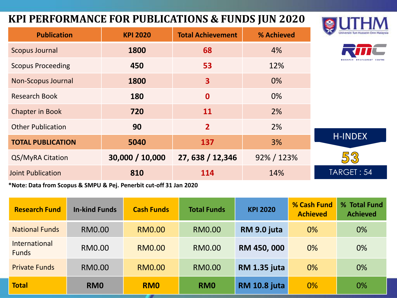#### **KPI PERFORMANCE FOR PUBLICATIONS & FUNDS JUN 2020**



CENTRE

| <b>Publication</b>        | <b>KPI 2020</b> | <b>Total Achievement</b> | % Achieved | Universiti Tun Hussein On |
|---------------------------|-----------------|--------------------------|------------|---------------------------|
| <b>Scopus Journal</b>     | 1800            | 68                       | 4%         |                           |
| <b>Scopus Proceeding</b>  | 450             | 53                       | 12%        |                           |
| <b>Non-Scopus Journal</b> | 1800            | 3                        | 0%         |                           |
| <b>Research Book</b>      | 180             | $\mathbf 0$              | 0%         |                           |
| <b>Chapter in Book</b>    | 720             | 11                       | 2%         |                           |
| <b>Other Publication</b>  | 90              | $\overline{2}$           | 2%         |                           |
| <b>TOTAL PUBLICATION</b>  | 5040            | 137                      | 3%         | <b>H-INDEX</b>            |
| QS/MyRA Citation          | 30,000 / 10,000 | 27, 638 / 12,346         | 92% / 123% | 53                        |
| <b>Joint Publication</b>  | 810             | 114                      | 14%        | TARGET: 54                |
|                           |                 |                          |            |                           |

**\*Note: Data from Scopus & SMPU & Pej. Penerbit cut-off 31 Jan 2020**

| <b>Research Fund</b>          | <b>In-kind Funds</b> | <b>Cash Funds</b> | <b>Total Funds</b> | <b>KPI 2020</b>     | % Cash Fund<br><b>Achieved</b> | % Total Fund<br><b>Achieved</b> |
|-------------------------------|----------------------|-------------------|--------------------|---------------------|--------------------------------|---------------------------------|
| <b>National Funds</b>         | <b>RM0.00</b>        | <b>RM0.00</b>     | <b>RM0.00</b>      | RM 9.0 juta         | 0%                             | $0\%$                           |
| International<br><b>Funds</b> | <b>RM0.00</b>        | <b>RM0.00</b>     | <b>RM0.00</b>      | RM 450, 000         | 0%                             | 0%                              |
| <b>Private Funds</b>          | RM0.00               | <b>RM0.00</b>     | <b>RM0.00</b>      | <b>RM 1.35 juta</b> | 0%                             | 0%                              |
| <b>Total</b>                  | RM <sub>0</sub>      | <b>RMO</b>        | <b>RMO</b>         | <b>RM 10.8 juta</b> | 0%                             | 0%                              |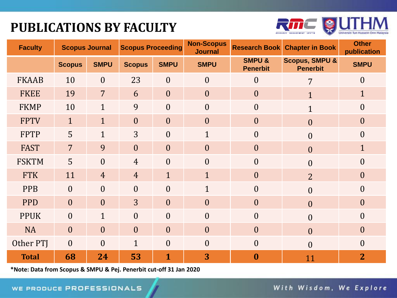## **PUBLICATIONS BY FACULTY**



| <b>Faculty</b> | <b>Scopus Journal</b> |                  | <b>Scopus Proceeding</b> |                | <b>Non-Scopus</b><br><b>Journal</b> | <b>Research Book</b>                 | <b>Chapter in Book</b>                       | <b>Other</b><br>publication |
|----------------|-----------------------|------------------|--------------------------|----------------|-------------------------------------|--------------------------------------|----------------------------------------------|-----------------------------|
|                | <b>Scopus</b>         | <b>SMPU</b>      | <b>Scopus</b>            | <b>SMPU</b>    | <b>SMPU</b>                         | <b>SMPU &amp;</b><br><b>Penerbit</b> | <b>Scopus, SMPU &amp;</b><br><b>Penerbit</b> | <b>SMPU</b>                 |
| <b>FKAAB</b>   | 10                    | $\boldsymbol{0}$ | 23                       | $\overline{0}$ | $\overline{0}$                      | $\overline{0}$                       | $\overline{7}$                               | $\boldsymbol{0}$            |
| <b>FKEE</b>    | 19                    | $\overline{7}$   | 6                        | $\overline{0}$ | $\overline{0}$                      | $\overline{0}$                       | $\mathbf{1}$                                 | $\mathbf{1}$                |
| <b>FKMP</b>    | 10                    | $\mathbf{1}$     | 9                        | $\theta$       | $\overline{0}$                      | $\theta$                             | $\mathbf{1}$                                 | $\boldsymbol{0}$            |
| <b>FPTV</b>    | $\mathbf{1}$          | $\mathbf{1}$     | $\overline{0}$           | $\overline{0}$ | $\overline{0}$                      | $\overline{0}$                       | $\boldsymbol{0}$                             | $\boldsymbol{0}$            |
| <b>FPTP</b>    | 5                     | $\mathbf{1}$     | 3                        | $\mathbf{0}$   | $\mathbf{1}$                        | $\boldsymbol{0}$                     | $\overline{0}$                               | $\boldsymbol{0}$            |
| <b>FAST</b>    | $\overline{7}$        | 9                | $\overline{0}$           | $\overline{0}$ | $\overline{0}$                      | $\overline{0}$                       | $\overline{0}$                               | $\mathbf{1}$                |
| <b>FSKTM</b>   | 5                     | $\theta$         | $\overline{4}$           | $\theta$       | $\theta$                            | $\theta$                             | $\overline{0}$                               | $\boldsymbol{0}$            |
| <b>FTK</b>     | 11                    | $\overline{4}$   | $\overline{4}$           | $\mathbf{1}$   | $\mathbf{1}$                        | $\overline{0}$                       | $\overline{2}$                               | $\boldsymbol{0}$            |
| <b>PPB</b>     | $\overline{0}$        | $\overline{0}$   | $\overline{0}$           | $\overline{0}$ | $\mathbf{1}$                        | $\boldsymbol{0}$                     | $\overline{0}$                               | $\boldsymbol{0}$            |
| <b>PPD</b>     | $\overline{0}$        | $\overline{0}$   | $\overline{3}$           | $\overline{0}$ | $\overline{0}$                      | $\theta$                             | $\overline{0}$                               | $\overline{0}$              |
| <b>PPUK</b>    | $\overline{0}$        | $\mathbf{1}$     | $\theta$                 | $\theta$       | $\theta$                            | $\overline{0}$                       | $\overline{0}$                               | $\boldsymbol{0}$            |
| <b>NA</b>      | $\overline{0}$        | $\overline{0}$   | $\overline{0}$           | $\overline{0}$ | $\overline{0}$                      | $\overline{0}$                       | $\overline{0}$                               | $\boldsymbol{0}$            |
| Other PTJ      | $\theta$              | $\overline{0}$   | $\mathbf{1}$             | $\theta$       | $\overline{0}$                      | $\overline{0}$                       | $\overline{0}$                               | $\boldsymbol{0}$            |
| <b>Total</b>   | 68                    | 24               | 53                       | $\mathbf{1}$   | 3                                   | $\bf{0}$                             | 11                                           | $\overline{2}$              |

**\*Note: Data from Scopus & SMPU & Pej. Penerbit cut-off 31 Jan 2020**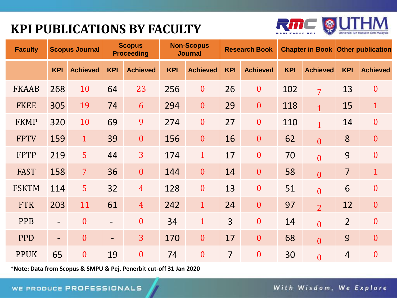## **KPI PUBLICATIONS BY FACULTY**



| <b>Faculty</b> |                          | <b>Scopus Journal</b> |                          | <b>Scopus</b><br><b>Proceeding</b> |            | <b>Non-Scopus</b><br><b>Journal</b> |                | <b>Research Book</b> |            | <b>Chapter in Book Other publication</b> |                |                  |
|----------------|--------------------------|-----------------------|--------------------------|------------------------------------|------------|-------------------------------------|----------------|----------------------|------------|------------------------------------------|----------------|------------------|
|                | <b>KPI</b>               | <b>Achieved</b>       | <b>KPI</b>               | <b>Achieved</b>                    | <b>KPI</b> | <b>Achieved</b>                     | <b>KPI</b>     | <b>Achieved</b>      | <b>KPI</b> | <b>Achieved</b>                          | <b>KPI</b>     | <b>Achieved</b>  |
| <b>FKAAB</b>   | 268                      | 10                    | 64                       | 23                                 | 256        | $\boldsymbol{0}$                    | 26             | $\boldsymbol{0}$     | 102        | $\overline{7}$                           | 13             | $\boldsymbol{0}$ |
| <b>FKEE</b>    | 305                      | 19                    | 74                       | 6                                  | 294        | $\mathbf{0}$                        | 29             | $\mathbf{0}$         | 118        | $\overline{1}$                           | 15             | $\mathbf{1}$     |
| <b>FKMP</b>    | 320                      | 10                    | 69                       | 9                                  | 274        | $\boldsymbol{0}$                    | 27             | $\boldsymbol{0}$     | 110        | $\overline{1}$                           | 14             | $\boldsymbol{0}$ |
| <b>FPTV</b>    | 159                      | $\mathbf{1}$          | 39                       | $\boldsymbol{0}$                   | 156        | $\boldsymbol{0}$                    | 16             | $\boldsymbol{0}$     | 62         | $\overline{0}$                           | 8              | $\boldsymbol{0}$ |
| <b>FPTP</b>    | 219                      | 5                     | 44                       | 3                                  | 174        | $\mathbf{1}$                        | 17             | $\mathbf{0}$         | 70         | $\overline{0}$                           | 9              | $\mathbf{0}$     |
| <b>FAST</b>    | 158                      | $\overline{7}$        | 36                       | $\boldsymbol{0}$                   | 144        | $\boldsymbol{0}$                    | 14             | $\boldsymbol{0}$     | 58         | $\overline{0}$                           | $\overline{7}$ | $\mathbf{1}$     |
| <b>FSKTM</b>   | 114                      | 5                     | 32                       | $\overline{4}$                     | 128        | $\boldsymbol{0}$                    | 13             | $\boldsymbol{0}$     | 51         | $\overline{0}$                           | 6              | $\mathbf{0}$     |
| <b>FTK</b>     | 203                      | 11                    | 61                       | $\overline{4}$                     | 242        | $\mathbf{1}$                        | 24             | $\boldsymbol{0}$     | 97         | $\overline{2}$                           | 12             | $\boldsymbol{0}$ |
| <b>PPB</b>     |                          | $\overline{0}$        | $\overline{\phantom{a}}$ | $\mathbf{0}$                       | 34         | $\mathbf{1}$                        | $\overline{3}$ | $\overline{0}$       | 14         | $\overline{0}$                           | $\overline{2}$ | $\boldsymbol{0}$ |
| <b>PPD</b>     | $\overline{\phantom{0}}$ | $\overline{0}$        | $\overline{\phantom{a}}$ | $\overline{3}$                     | 170        | $\boldsymbol{0}$                    | 17             | $\boldsymbol{0}$     | 68         | $\overline{0}$                           | 9              | $\mathbf{0}$     |
| <b>PPUK</b>    | 65                       | $\boldsymbol{0}$      | 19                       | $\mathbf{0}$                       | 74         | $\boldsymbol{0}$                    | $\overline{7}$ | $\boldsymbol{0}$     | 30         | $\overline{0}$                           | $\overline{4}$ | $\overline{0}$   |

**\*Note: Data from Scopus & SMPU & Pej. Penerbit cut-off 31 Jan 2020**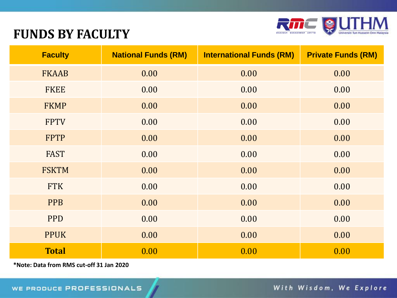

#### **FUNDS BY FACULTY**

| <b>Faculty</b> | <b>National Funds (RM)</b> | <b>International Funds (RM)</b> | <b>Private Funds (RM)</b> |
|----------------|----------------------------|---------------------------------|---------------------------|
| <b>FKAAB</b>   | 0.00                       | 0.00                            | 0.00                      |
| <b>FKEE</b>    | 0.00                       | 0.00                            | 0.00                      |
| <b>FKMP</b>    | 0.00                       | 0.00                            | 0.00                      |
| <b>FPTV</b>    | 0.00                       | 0.00                            | 0.00                      |
| <b>FPTP</b>    | 0.00                       | 0.00                            | 0.00                      |
| <b>FAST</b>    | 0.00                       | 0.00                            | 0.00                      |
| <b>FSKTM</b>   | 0.00                       | 0.00                            | 0.00                      |
| <b>FTK</b>     | 0.00                       | 0.00                            | 0.00                      |
| <b>PPB</b>     | 0.00                       | 0.00                            | 0.00                      |
| <b>PPD</b>     | 0.00                       | 0.00                            | 0.00                      |
| <b>PPUK</b>    | 0.00                       | 0.00                            | 0.00                      |
| <b>Total</b>   | 0.00                       | 0.00                            | 0.00                      |

**\*Note: Data from RMS cut-off 31 Jan 2020**

With Wisdom, We Explore